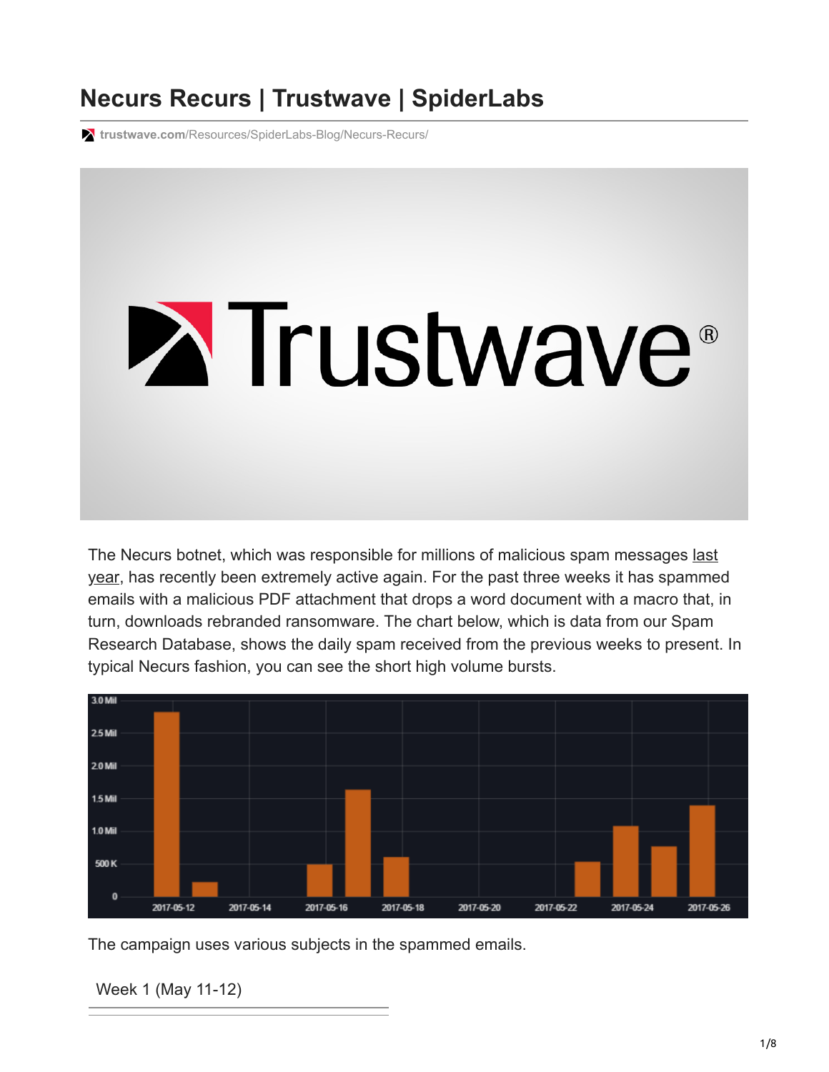# **Necurs Recurs | Trustwave | SpiderLabs**

**trustwave.com**[/Resources/SpiderLabs-Blog/Necurs-Recurs/](https://www.trustwave.com/Resources/SpiderLabs-Blog/Necurs-Recurs/)



[The Necurs botnet, which was responsible for millions of malicious spam messages last](https://www.trustwave.com/Resources/SpiderLabs-Blog/Necurs-%E2%80%93-the-Heavyweight-Malware-Spammer/) year, has recently been extremely active again. For the past three weeks it has spammed emails with a malicious PDF attachment that drops a word document with a macro that, in turn, downloads rebranded ransomware. The chart below, which is data from our Spam Research Database, shows the daily spam received from the previous weeks to present. In typical Necurs fashion, you can see the short high volume bursts.



The campaign uses various subjects in the spammed emails.

Week 1 (May 11-12)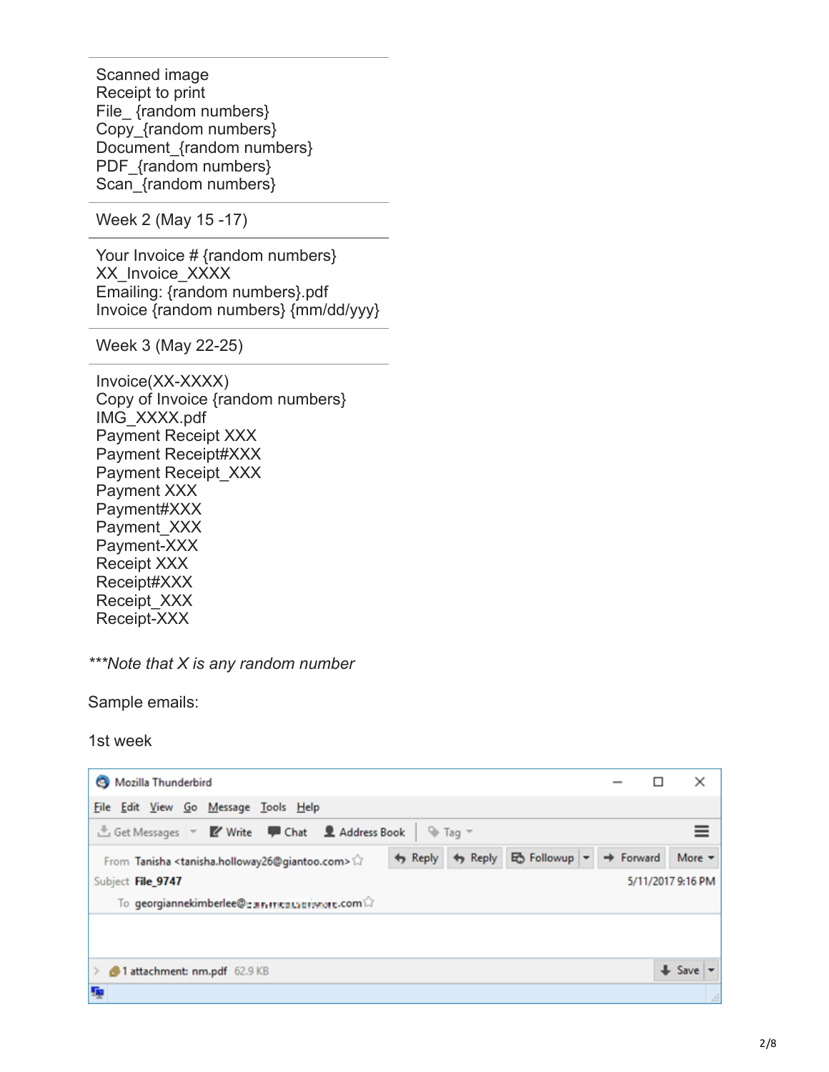Scanned image Receipt to print File\_ {random numbers} Copy\_{random numbers} Document {random numbers} PDF {random numbers} Scan {random numbers}

Week 2 (May 15 -17)

Your Invoice # {random numbers} XX Invoice XXXX Emailing: {random numbers}.pdf Invoice {random numbers} {mm/dd/yyy}

Week 3 (May 22-25)

Invoice(XX-XXXX) Copy of Invoice {random numbers} IMG\_XXXX.pdf Payment Receipt XXX Payment Receipt#XXX Payment Receipt\_XXX Payment XXX Payment#XXX Payment XXX Payment-XXX Receipt XXX Receipt#XXX Receipt\_XXX Receipt-XXX

*\*\*\*Note that X is any random number*

Sample emails:

1st week

| Mozilla Thunderbird                                                                                                                               |                       | ×                                     |
|---------------------------------------------------------------------------------------------------------------------------------------------------|-----------------------|---------------------------------------|
| File Edit View Go Message Tools Help                                                                                                              |                       |                                       |
| did Get Messages <b>v Z</b> Write <b>P</b> Chat <b>2</b> Address Book<br>$\sqrt{a}$ Tag $\sqrt{a}$                                                |                       |                                       |
| ■ Followup ▼<br>$\leftrightarrow$ Reply $\leftrightarrow$ Reply<br>From Tanisha <tanisha.holloway26@giantoo.com></tanisha.holloway26@giantoo.com> | $\rightarrow$ Forward | More $\tau$                           |
| Subject File 9747                                                                                                                                 |                       | 5/11/2017 9:16 PM                     |
| To georgiannekimberlee@gan meauserwore.com                                                                                                        |                       |                                       |
|                                                                                                                                                   |                       |                                       |
|                                                                                                                                                   |                       |                                       |
| 1 attachment: nm.pdf 62.9 KB                                                                                                                      |                       | $\bigstar$ Save $\vert \bullet \vert$ |
| 瓇                                                                                                                                                 |                       |                                       |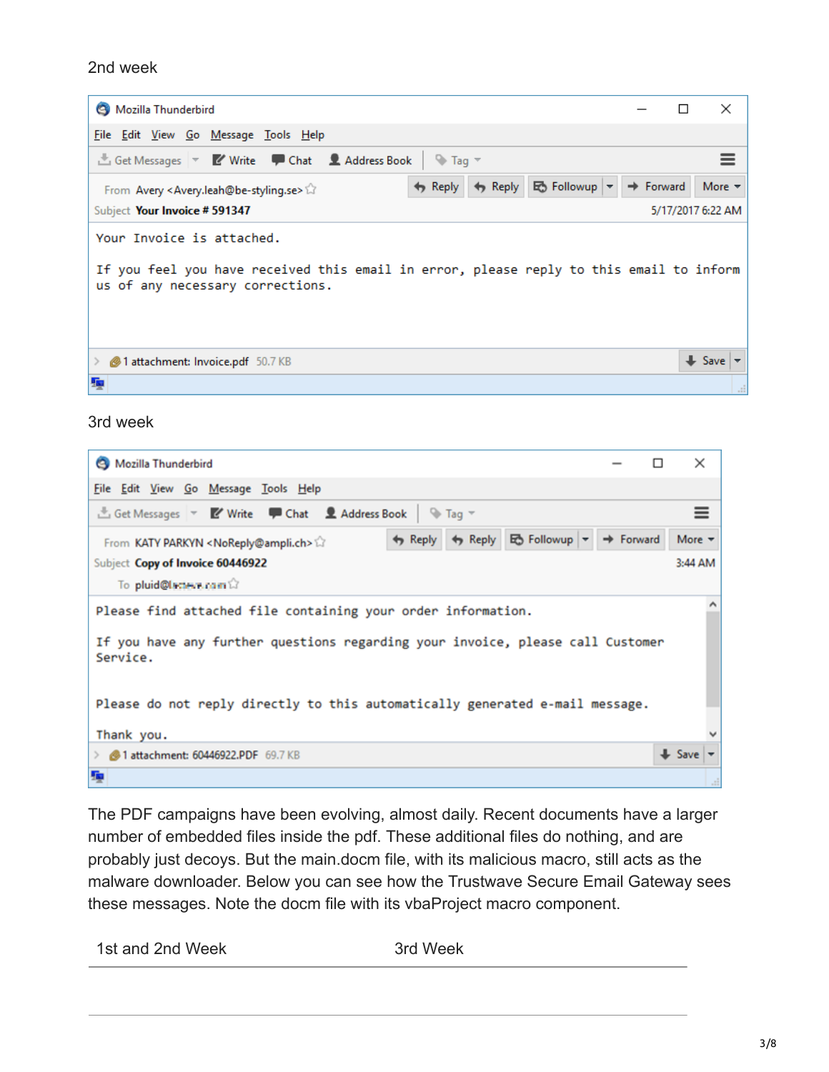#### 2nd week

| Mozilla Thunderbird                                                                                                                                      |                            |                       |                       | ×                          |  |
|----------------------------------------------------------------------------------------------------------------------------------------------------------|----------------------------|-----------------------|-----------------------|----------------------------|--|
| File Edit View Go Message Tools Help                                                                                                                     |                            |                       |                       |                            |  |
| LGet Messages   v   Z' Write   Chat   2 Address Book                                                                                                     | $\Box$ Tag $\triangledown$ |                       |                       |                            |  |
| From Avery <avery.leah@be-styling.se></avery.leah@be-styling.se>                                                                                         | $\leftrightarrow$ Reply    | → Reply Eb Followup → | $\Rightarrow$ Forward | More $\blacktriangledown$  |  |
| Subject Your Invoice # 591347                                                                                                                            |                            |                       |                       | 5/17/2017 6:22 AM          |  |
| Your Invoice is attached.<br>If you feel you have received this email in error, please reply to this email to inform<br>us of any necessary corrections. |                            |                       |                       |                            |  |
| 1 attachment: Invoice.pdf 50.7 KB                                                                                                                        |                            |                       |                       | $\blacktriangleright$ Save |  |
| 骗                                                                                                                                                        |                            |                       |                       |                            |  |

#### 3rd week

| Mozilla Thunderbird                                                                        |                          |  |                                         |  | ×                         |
|--------------------------------------------------------------------------------------------|--------------------------|--|-----------------------------------------|--|---------------------------|
| File Edit View Go Message Tools Help                                                       |                          |  |                                         |  |                           |
| Get Messages <b>V</b> Write <b>P</b> Chat <b>2</b> Address Book                            | $\rightarrow$ Tag $\sim$ |  |                                         |  | $\equiv$                  |
| From KATY PARKYN <noreply@ampli.ch></noreply@ampli.ch>                                     |                          |  | ← Reply ← Reply Eo Followup – → Forward |  | More $\blacktriangledown$ |
| Subject Copy of Invoice 60446922                                                           |                          |  |                                         |  | 3:44 AM                   |
| To pluid@lacteve.com                                                                       |                          |  |                                         |  |                           |
| Please find attached file containing your order information.                               |                          |  |                                         |  |                           |
| If you have any further questions regarding your invoice, please call Customer<br>Service. |                          |  |                                         |  |                           |
| Please do not reply directly to this automatically generated e-mail message.               |                          |  |                                         |  |                           |
| Thank you.                                                                                 |                          |  |                                         |  |                           |
| <b>49 1 attachment: 60446922.PDF</b> 69.7 KB                                               |                          |  |                                         |  | $\bigcup$ Save            |
| 堹                                                                                          |                          |  |                                         |  |                           |

The PDF campaigns have been evolving, almost daily. Recent documents have a larger number of embedded files inside the pdf. These additional files do nothing, and are probably just decoys. But the main.docm file, with its malicious macro, still acts as the malware downloader. Below you can see how the Trustwave Secure Email Gateway sees these messages. Note the docm file with its vbaProject macro component.

| 1st and 2nd Week | 3rd Week |
|------------------|----------|
|                  |          |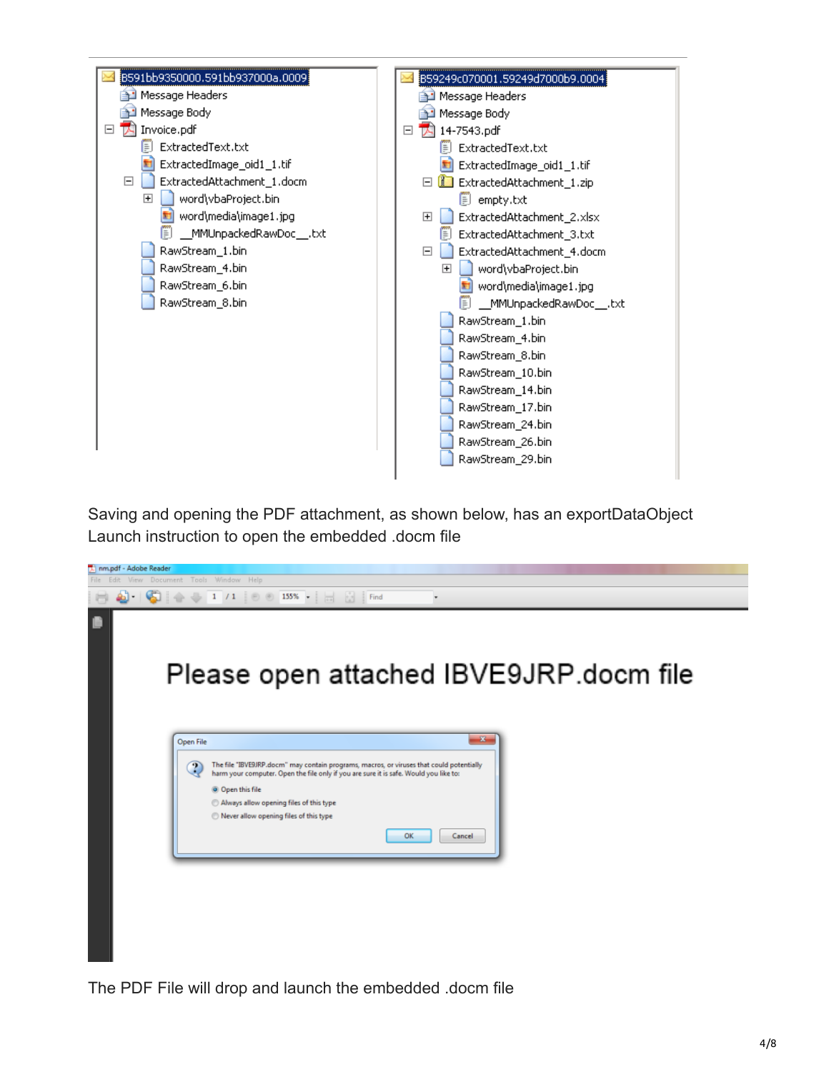

Saving and opening the PDF attachment, as shown below, has an exportDataObject Launch instruction to open the embedded .docm file



The PDF File will drop and launch the embedded .docm file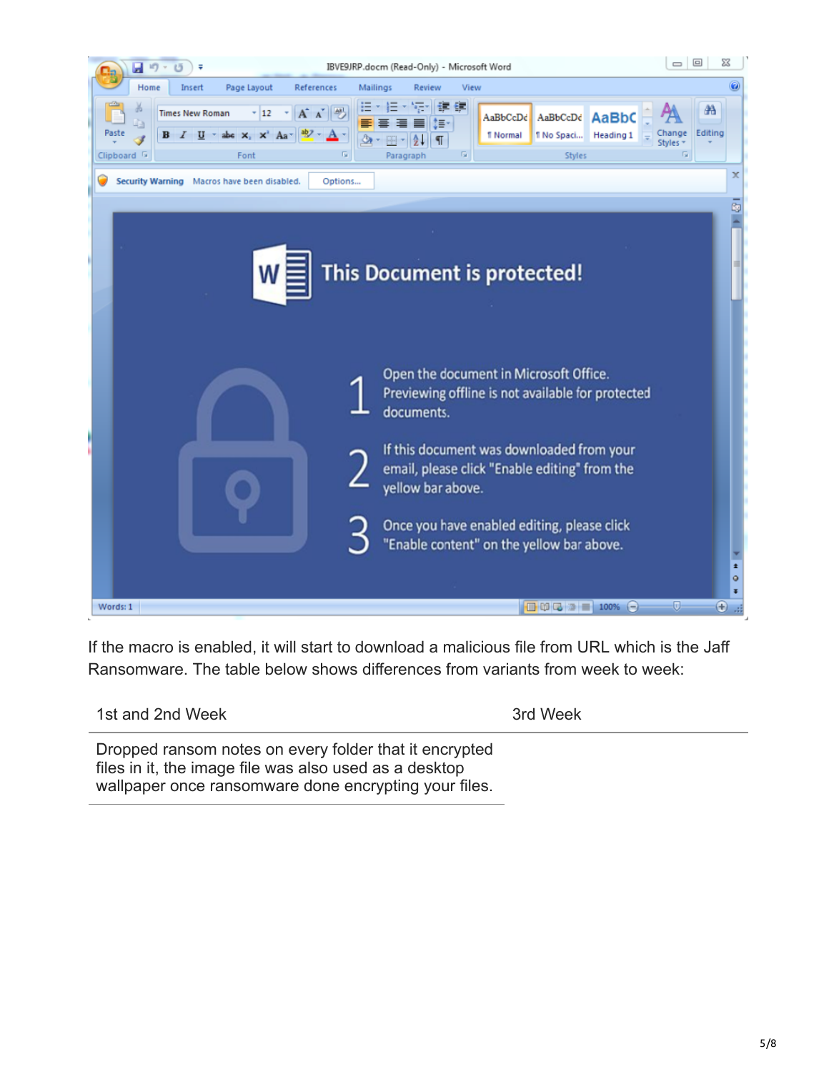

If the macro is enabled, it will start to download a malicious file from URL which is the Jaff Ransomware. The table below shows differences from variants from week to week:

| 1st and 2nd Week                                                                                                 | 3rd Week |
|------------------------------------------------------------------------------------------------------------------|----------|
| Dropped ransom notes on every folder that it encrypted<br>files in it, the image file was also used as a desktop |          |

files in it, the image file was also used as a desktop wallpaper once ransomware done encrypting your files.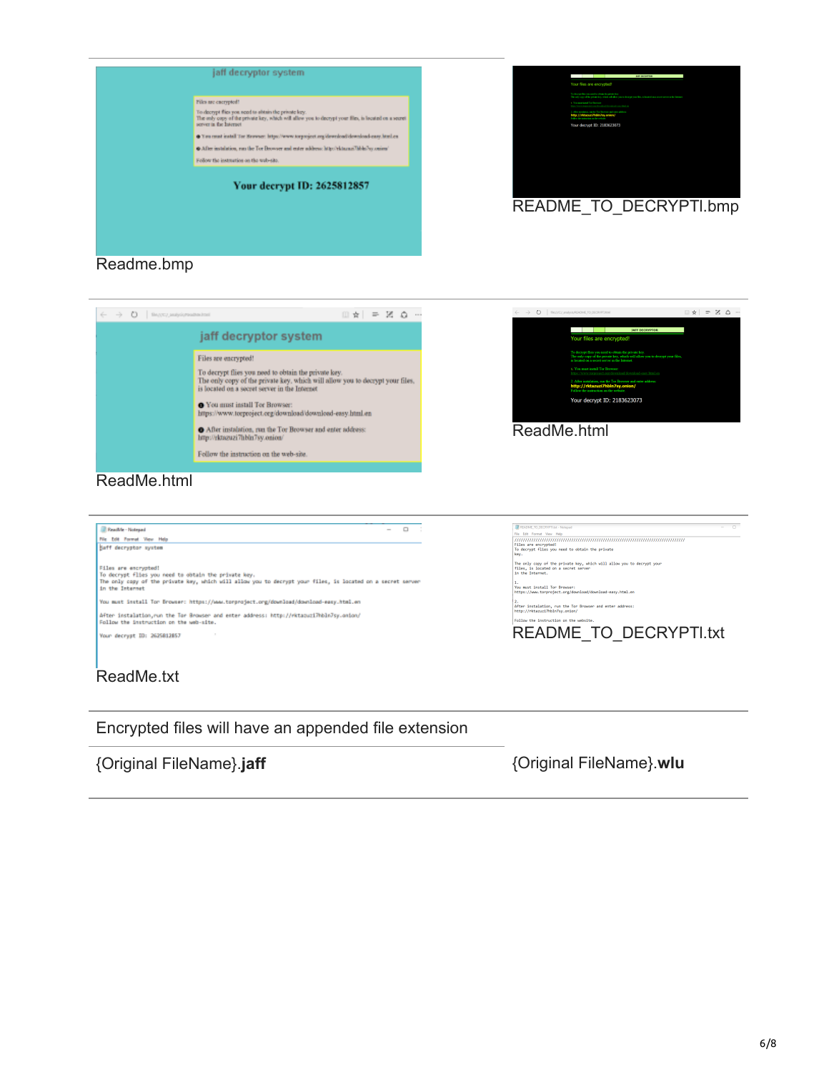





Encrypted files will have an appended file extension

{Original FileName}.**jaff** {Original FileName}.**wlu**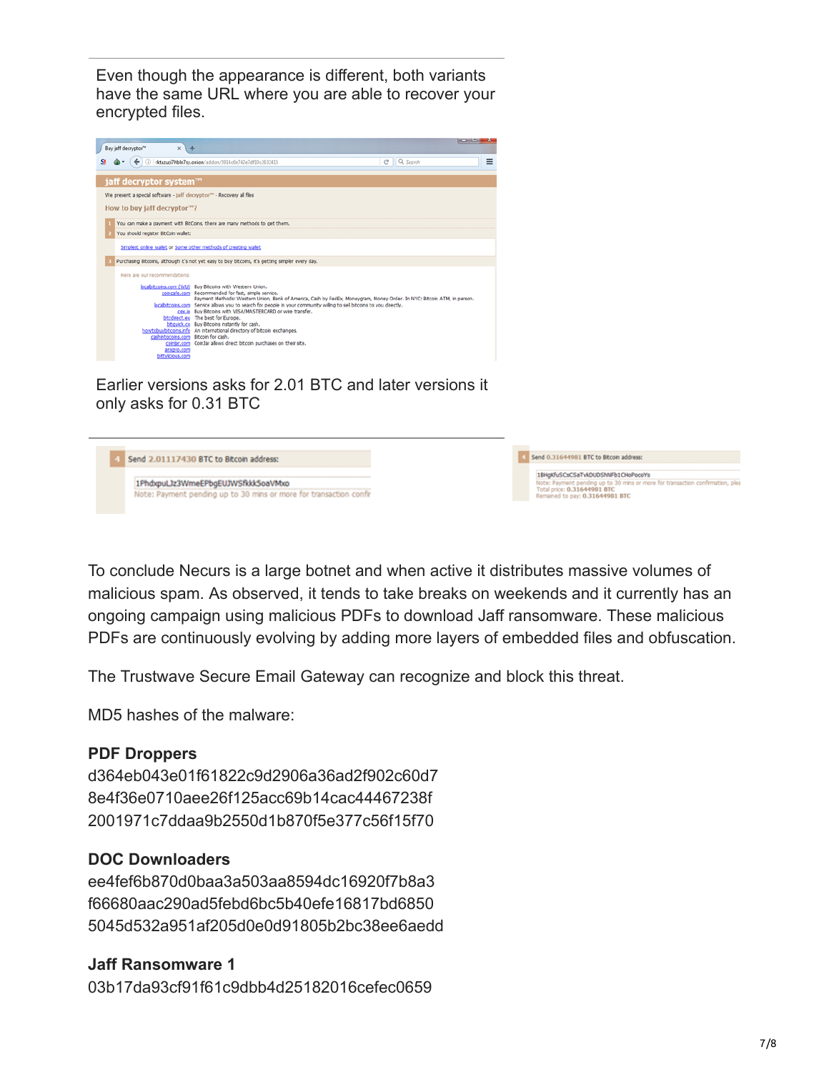Even though the appearance is different, both variants have the same URL where you are able to recover your encrypted files.



Earlier versions asks for 2.01 BTC and later versions it only asks for 0.31 BTC



To conclude Necurs is a large botnet and when active it distributes massive volumes of malicious spam. As observed, it tends to take breaks on weekends and it currently has an ongoing campaign using malicious PDFs to download Jaff ransomware. These malicious PDFs are continuously evolving by adding more layers of embedded files and obfuscation.

The Trustwave Secure Email Gateway can recognize and block this threat.

MD5 hashes of the malware:

## **PDF Droppers**

d364eb043e01f61822c9d2906a36ad2f902c60d7 8e4f36e0710aee26f125acc69b14cac44467238f 2001971c7ddaa9b2550d1b870f5e377c56f15f70

## **DOC Downloaders**

ee4fef6b870d0baa3a503aa8594dc16920f7b8a3 f66680aac290ad5febd6bc5b40efe16817bd6850 5045d532a951af205d0e0d91805b2bc38ee6aedd

## **Jaff Ransomware 1**

03b17da93cf91f61c9dbb4d25182016cefec0659